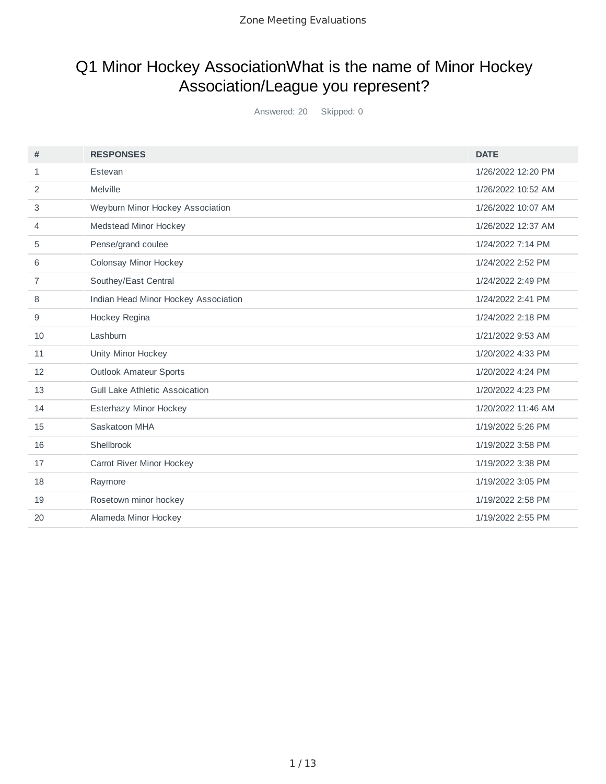## Q1 Minor Hockey AssociationWhat is the name of Minor Hockey Association/League you represent?

Answered: 20 Skipped: 0

| #  | <b>RESPONSES</b>                      | <b>DATE</b>        |
|----|---------------------------------------|--------------------|
| 1  | Estevan                               | 1/26/2022 12:20 PM |
| 2  | Melville                              | 1/26/2022 10:52 AM |
| 3  | Weyburn Minor Hockey Association      | 1/26/2022 10:07 AM |
| 4  | Medstead Minor Hockey                 | 1/26/2022 12:37 AM |
| 5  | Pense/grand coulee                    | 1/24/2022 7:14 PM  |
| 6  | Colonsay Minor Hockey                 | 1/24/2022 2:52 PM  |
| 7  | Southey/East Central                  | 1/24/2022 2:49 PM  |
| 8  | Indian Head Minor Hockey Association  | 1/24/2022 2:41 PM  |
| 9  | Hockey Regina                         | 1/24/2022 2:18 PM  |
| 10 | Lashburn                              | 1/21/2022 9:53 AM  |
| 11 | Unity Minor Hockey                    | 1/20/2022 4:33 PM  |
| 12 | <b>Outlook Amateur Sports</b>         | 1/20/2022 4:24 PM  |
| 13 | <b>Gull Lake Athletic Assoication</b> | 1/20/2022 4:23 PM  |
| 14 | Esterhazy Minor Hockey                | 1/20/2022 11:46 AM |
| 15 | Saskatoon MHA                         | 1/19/2022 5:26 PM  |
| 16 | Shellbrook                            | 1/19/2022 3:58 PM  |
| 17 | Carrot River Minor Hockey             | 1/19/2022 3:38 PM  |
| 18 | Raymore                               | 1/19/2022 3:05 PM  |
| 19 | Rosetown minor hockey                 | 1/19/2022 2:58 PM  |
| 20 | Alameda Minor Hockey                  | 1/19/2022 2:55 PM  |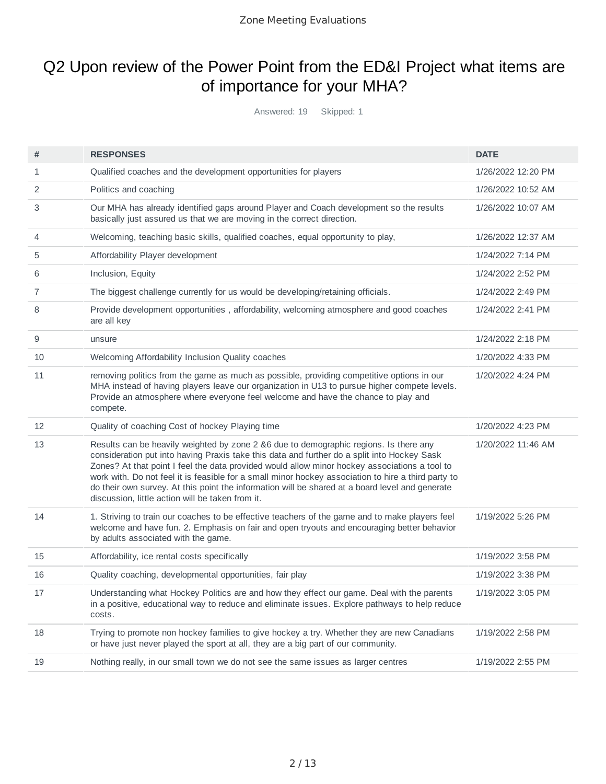### Q2 Upon review of the Power Point from the ED&I Project what items are of importance for your MHA?

Answered: 19 Skipped: 1

| #  | <b>RESPONSES</b>                                                                                                                                                                                                                                                                                                                                                                                                                                                                                                                                    | <b>DATE</b>        |
|----|-----------------------------------------------------------------------------------------------------------------------------------------------------------------------------------------------------------------------------------------------------------------------------------------------------------------------------------------------------------------------------------------------------------------------------------------------------------------------------------------------------------------------------------------------------|--------------------|
| 1  | Qualified coaches and the development opportunities for players                                                                                                                                                                                                                                                                                                                                                                                                                                                                                     | 1/26/2022 12:20 PM |
| 2  | Politics and coaching                                                                                                                                                                                                                                                                                                                                                                                                                                                                                                                               | 1/26/2022 10:52 AM |
| 3  | Our MHA has already identified gaps around Player and Coach development so the results<br>basically just assured us that we are moving in the correct direction.                                                                                                                                                                                                                                                                                                                                                                                    | 1/26/2022 10:07 AM |
| 4  | Welcoming, teaching basic skills, qualified coaches, equal opportunity to play,                                                                                                                                                                                                                                                                                                                                                                                                                                                                     | 1/26/2022 12:37 AM |
| 5  | Affordability Player development                                                                                                                                                                                                                                                                                                                                                                                                                                                                                                                    | 1/24/2022 7:14 PM  |
| 6  | Inclusion, Equity                                                                                                                                                                                                                                                                                                                                                                                                                                                                                                                                   | 1/24/2022 2:52 PM  |
| 7  | The biggest challenge currently for us would be developing/retaining officials.                                                                                                                                                                                                                                                                                                                                                                                                                                                                     | 1/24/2022 2:49 PM  |
| 8  | Provide development opportunities, affordability, welcoming atmosphere and good coaches<br>are all key                                                                                                                                                                                                                                                                                                                                                                                                                                              | 1/24/2022 2:41 PM  |
| 9  | unsure                                                                                                                                                                                                                                                                                                                                                                                                                                                                                                                                              | 1/24/2022 2:18 PM  |
| 10 | Welcoming Affordability Inclusion Quality coaches                                                                                                                                                                                                                                                                                                                                                                                                                                                                                                   | 1/20/2022 4:33 PM  |
| 11 | removing politics from the game as much as possible, providing competitive options in our<br>MHA instead of having players leave our organization in U13 to pursue higher compete levels.<br>Provide an atmosphere where everyone feel welcome and have the chance to play and<br>compete.                                                                                                                                                                                                                                                          | 1/20/2022 4:24 PM  |
| 12 | Quality of coaching Cost of hockey Playing time                                                                                                                                                                                                                                                                                                                                                                                                                                                                                                     | 1/20/2022 4:23 PM  |
| 13 | Results can be heavily weighted by zone 2 &6 due to demographic regions. Is there any<br>consideration put into having Praxis take this data and further do a split into Hockey Sask<br>Zones? At that point I feel the data provided would allow minor hockey associations a tool to<br>work with. Do not feel it is feasible for a small minor hockey association to hire a third party to<br>do their own survey. At this point the information will be shared at a board level and generate<br>discussion, little action will be taken from it. | 1/20/2022 11:46 AM |
| 14 | 1. Striving to train our coaches to be effective teachers of the game and to make players feel<br>welcome and have fun. 2. Emphasis on fair and open tryouts and encouraging better behavior<br>by adults associated with the game.                                                                                                                                                                                                                                                                                                                 | 1/19/2022 5:26 PM  |
| 15 | Affordability, ice rental costs specifically                                                                                                                                                                                                                                                                                                                                                                                                                                                                                                        | 1/19/2022 3:58 PM  |
| 16 | Quality coaching, developmental opportunities, fair play                                                                                                                                                                                                                                                                                                                                                                                                                                                                                            | 1/19/2022 3:38 PM  |
| 17 | Understanding what Hockey Politics are and how they effect our game. Deal with the parents<br>in a positive, educational way to reduce and eliminate issues. Explore pathways to help reduce<br>costs.                                                                                                                                                                                                                                                                                                                                              | 1/19/2022 3:05 PM  |
| 18 | Trying to promote non hockey families to give hockey a try. Whether they are new Canadians<br>or have just never played the sport at all, they are a big part of our community.                                                                                                                                                                                                                                                                                                                                                                     | 1/19/2022 2:58 PM  |
| 19 | Nothing really, in our small town we do not see the same issues as larger centres                                                                                                                                                                                                                                                                                                                                                                                                                                                                   | 1/19/2022 2:55 PM  |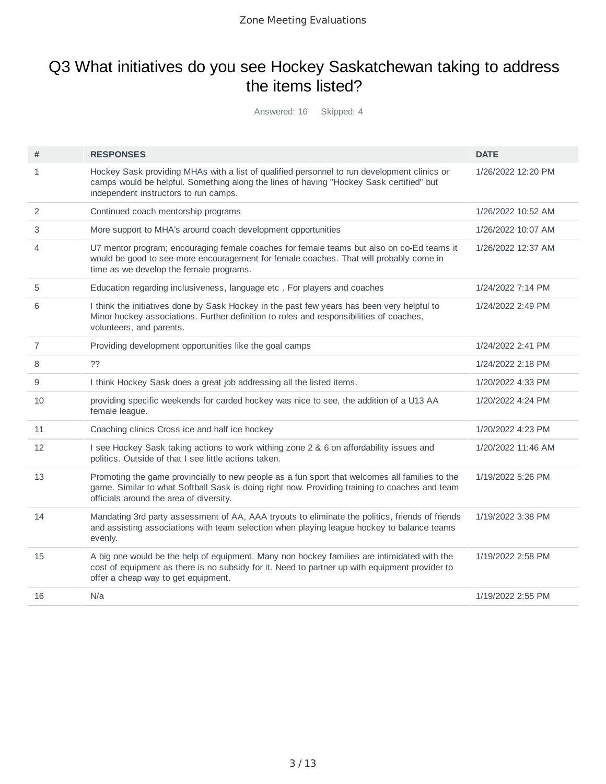### Q3 What initiatives do you see Hockey Saskatchewan taking to address the items listed?

Answered: 16 Skipped: 4

| #              | <b>RESPONSES</b>                                                                                                                                                                                                                            | <b>DATE</b>        |
|----------------|---------------------------------------------------------------------------------------------------------------------------------------------------------------------------------------------------------------------------------------------|--------------------|
| $\mathbf{1}$   | Hockey Sask providing MHAs with a list of qualified personnel to run development clinics or<br>camps would be helpful. Something along the lines of having "Hockey Sask certified" but<br>independent instructors to run camps.             | 1/26/2022 12:20 PM |
| 2              | Continued coach mentorship programs                                                                                                                                                                                                         | 1/26/2022 10:52 AM |
| 3              | More support to MHA's around coach development opportunities                                                                                                                                                                                | 1/26/2022 10:07 AM |
| 4              | U7 mentor program; encouraging female coaches for female teams but also on co-Ed teams it<br>would be good to see more encouragement for female coaches. That will probably come in<br>time as we develop the female programs.              | 1/26/2022 12:37 AM |
| 5              | Education regarding inclusiveness, language etc. For players and coaches                                                                                                                                                                    | 1/24/2022 7:14 PM  |
| 6              | I think the initiatives done by Sask Hockey in the past few years has been very helpful to<br>Minor hockey associations. Further definition to roles and responsibilities of coaches,<br>volunteers, and parents.                           | 1/24/2022 2:49 PM  |
| $\overline{7}$ | Providing development opportunities like the goal camps                                                                                                                                                                                     | 1/24/2022 2:41 PM  |
| 8              | ??                                                                                                                                                                                                                                          | 1/24/2022 2:18 PM  |
| 9              | I think Hockey Sask does a great job addressing all the listed items.                                                                                                                                                                       | 1/20/2022 4:33 PM  |
| 10             | providing specific weekends for carded hockey was nice to see, the addition of a U13 AA<br>female league.                                                                                                                                   | 1/20/2022 4:24 PM  |
| 11             | Coaching clinics Cross ice and half ice hockey                                                                                                                                                                                              | 1/20/2022 4:23 PM  |
| 12             | I see Hockey Sask taking actions to work withing zone 2 & 6 on affordability issues and<br>politics. Outside of that I see little actions taken.                                                                                            | 1/20/2022 11:46 AM |
| 13             | Promoting the game provincially to new people as a fun sport that welcomes all families to the<br>game. Similar to what Softball Sask is doing right now. Providing training to coaches and team<br>officials around the area of diversity. | 1/19/2022 5:26 PM  |
| 14             | Mandating 3rd party assessment of AA, AAA tryouts to eliminate the politics, friends of friends<br>and assisting associations with team selection when playing league hockey to balance teams<br>evenly.                                    | 1/19/2022 3:38 PM  |
| 15             | A big one would be the help of equipment. Many non hockey families are intimidated with the<br>cost of equipment as there is no subsidy for it. Need to partner up with equipment provider to<br>offer a cheap way to get equipment.        | 1/19/2022 2:58 PM  |
| 16             | N/a                                                                                                                                                                                                                                         | 1/19/2022 2:55 PM  |
|                |                                                                                                                                                                                                                                             |                    |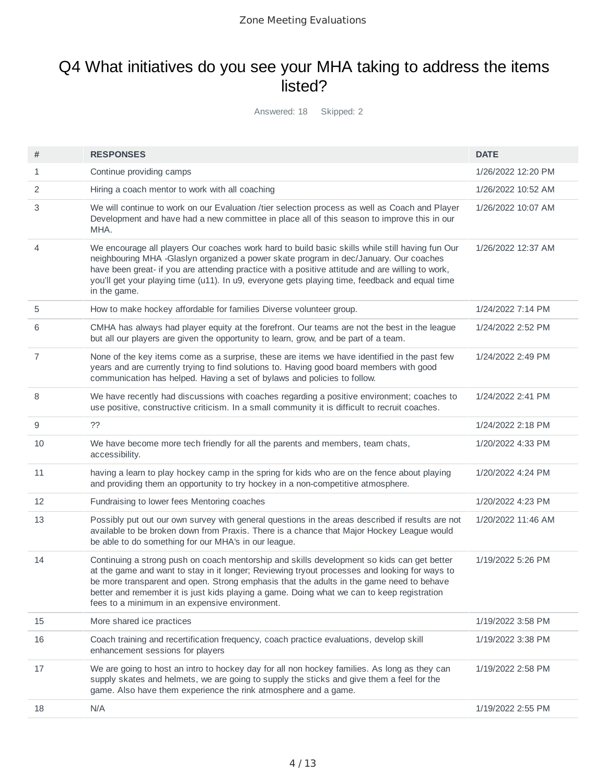### Q4 What initiatives do you see your MHA taking to address the items listed?

Answered: 18 Skipped: 2

| #            | <b>RESPONSES</b>                                                                                                                                                                                                                                                                                                                                                                                                                        | <b>DATE</b>        |
|--------------|-----------------------------------------------------------------------------------------------------------------------------------------------------------------------------------------------------------------------------------------------------------------------------------------------------------------------------------------------------------------------------------------------------------------------------------------|--------------------|
| $\mathbf{1}$ | Continue providing camps                                                                                                                                                                                                                                                                                                                                                                                                                | 1/26/2022 12:20 PM |
| 2            | Hiring a coach mentor to work with all coaching                                                                                                                                                                                                                                                                                                                                                                                         | 1/26/2022 10:52 AM |
| 3            | We will continue to work on our Evaluation /tier selection process as well as Coach and Player<br>Development and have had a new committee in place all of this season to improve this in our<br>MHA.                                                                                                                                                                                                                                   | 1/26/2022 10:07 AM |
| 4            | We encourage all players Our coaches work hard to build basic skills while still having fun Our<br>neighbouring MHA -Glaslyn organized a power skate program in dec/January. Our coaches<br>have been great- if you are attending practice with a positive attitude and are willing to work,<br>you'll get your playing time (u11). In u9, everyone gets playing time, feedback and equal time<br>in the game.                          | 1/26/2022 12:37 AM |
| 5            | How to make hockey affordable for families Diverse volunteer group.                                                                                                                                                                                                                                                                                                                                                                     | 1/24/2022 7:14 PM  |
| 6            | CMHA has always had player equity at the forefront. Our teams are not the best in the league<br>but all our players are given the opportunity to learn, grow, and be part of a team.                                                                                                                                                                                                                                                    | 1/24/2022 2:52 PM  |
| 7            | None of the key items come as a surprise, these are items we have identified in the past few<br>years and are currently trying to find solutions to. Having good board members with good<br>communication has helped. Having a set of bylaws and policies to follow.                                                                                                                                                                    | 1/24/2022 2:49 PM  |
| 8            | We have recently had discussions with coaches regarding a positive environment; coaches to<br>use positive, constructive criticism. In a small community it is difficult to recruit coaches.                                                                                                                                                                                                                                            | 1/24/2022 2:41 PM  |
| 9            | ??                                                                                                                                                                                                                                                                                                                                                                                                                                      | 1/24/2022 2:18 PM  |
| 10           | We have become more tech friendly for all the parents and members, team chats,<br>accessibility.                                                                                                                                                                                                                                                                                                                                        | 1/20/2022 4:33 PM  |
| 11           | having a learn to play hockey camp in the spring for kids who are on the fence about playing<br>and providing them an opportunity to try hockey in a non-competitive atmosphere.                                                                                                                                                                                                                                                        | 1/20/2022 4:24 PM  |
| 12           | Fundraising to lower fees Mentoring coaches                                                                                                                                                                                                                                                                                                                                                                                             | 1/20/2022 4:23 PM  |
| 13           | Possibly put out our own survey with general questions in the areas described if results are not<br>available to be broken down from Praxis. There is a chance that Major Hockey League would<br>be able to do something for our MHA's in our league.                                                                                                                                                                                   | 1/20/2022 11:46 AM |
| 14           | Continuing a strong push on coach mentorship and skills development so kids can get better<br>at the game and want to stay in it longer; Reviewing tryout processes and looking for ways to<br>be more transparent and open. Strong emphasis that the adults in the game need to behave<br>better and remember it is just kids playing a game. Doing what we can to keep registration<br>fees to a minimum in an expensive environment. | 1/19/2022 5:26 PM  |
| 15           | More shared ice practices                                                                                                                                                                                                                                                                                                                                                                                                               | 1/19/2022 3:58 PM  |
| 16           | Coach training and recertification frequency, coach practice evaluations, develop skill<br>enhancement sessions for players                                                                                                                                                                                                                                                                                                             | 1/19/2022 3:38 PM  |
| 17           | We are going to host an intro to hockey day for all non hockey families. As long as they can<br>supply skates and helmets, we are going to supply the sticks and give them a feel for the<br>game. Also have them experience the rink atmosphere and a game.                                                                                                                                                                            | 1/19/2022 2:58 PM  |
| 18           | N/A                                                                                                                                                                                                                                                                                                                                                                                                                                     | 1/19/2022 2:55 PM  |
|              |                                                                                                                                                                                                                                                                                                                                                                                                                                         |                    |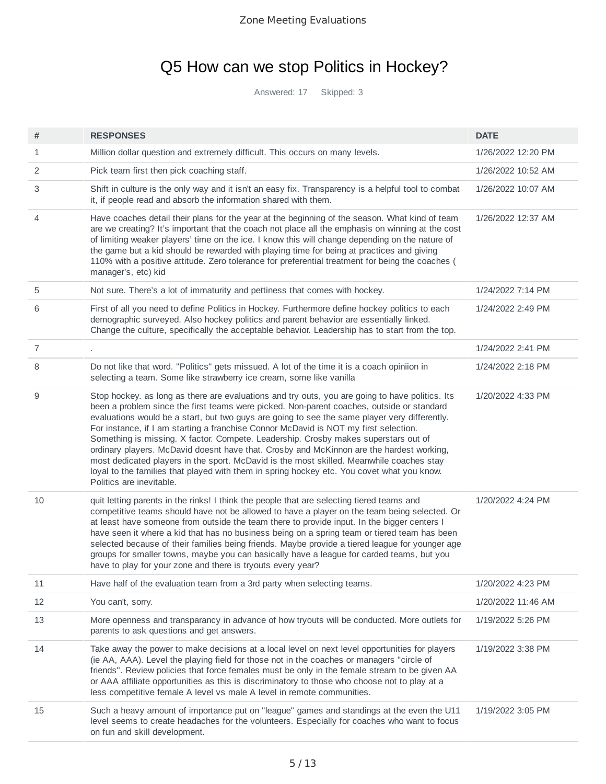## Q5 How can we stop Politics in Hockey?

Answered: 17 Skipped: 3

| #  | <b>RESPONSES</b>                                                                                                                                                                                                                                                                                                                                                                                                                                                                                                                                                                                                                                                                                                                                                                               | <b>DATE</b>        |
|----|------------------------------------------------------------------------------------------------------------------------------------------------------------------------------------------------------------------------------------------------------------------------------------------------------------------------------------------------------------------------------------------------------------------------------------------------------------------------------------------------------------------------------------------------------------------------------------------------------------------------------------------------------------------------------------------------------------------------------------------------------------------------------------------------|--------------------|
| 1  | Million dollar question and extremely difficult. This occurs on many levels.                                                                                                                                                                                                                                                                                                                                                                                                                                                                                                                                                                                                                                                                                                                   | 1/26/2022 12:20 PM |
| 2  | Pick team first then pick coaching staff.                                                                                                                                                                                                                                                                                                                                                                                                                                                                                                                                                                                                                                                                                                                                                      | 1/26/2022 10:52 AM |
| 3  | Shift in culture is the only way and it isn't an easy fix. Transparency is a helpful tool to combat<br>it, if people read and absorb the information shared with them.                                                                                                                                                                                                                                                                                                                                                                                                                                                                                                                                                                                                                         | 1/26/2022 10:07 AM |
| 4  | Have coaches detail their plans for the year at the beginning of the season. What kind of team<br>are we creating? It's important that the coach not place all the emphasis on winning at the cost<br>of limiting weaker players' time on the ice. I know this will change depending on the nature of<br>the game but a kid should be rewarded with playing time for being at practices and giving<br>110% with a positive attitude. Zero tolerance for preferential treatment for being the coaches (<br>manager's, etc) kid                                                                                                                                                                                                                                                                  | 1/26/2022 12:37 AM |
| 5  | Not sure. There's a lot of immaturity and pettiness that comes with hockey.                                                                                                                                                                                                                                                                                                                                                                                                                                                                                                                                                                                                                                                                                                                    | 1/24/2022 7:14 PM  |
| 6  | First of all you need to define Politics in Hockey. Furthermore define hockey politics to each<br>demographic surveyed. Also hockey politics and parent behavior are essentially linked.<br>Change the culture, specifically the acceptable behavior. Leadership has to start from the top.                                                                                                                                                                                                                                                                                                                                                                                                                                                                                                    | 1/24/2022 2:49 PM  |
| 7  |                                                                                                                                                                                                                                                                                                                                                                                                                                                                                                                                                                                                                                                                                                                                                                                                | 1/24/2022 2:41 PM  |
| 8  | Do not like that word. "Politics" gets missued. A lot of the time it is a coach opiniion in<br>selecting a team. Some like strawberry ice cream, some like vanilla                                                                                                                                                                                                                                                                                                                                                                                                                                                                                                                                                                                                                             | 1/24/2022 2:18 PM  |
| 9  | Stop hockey. as long as there are evaluations and try outs, you are going to have politics. Its<br>been a problem since the first teams were picked. Non-parent coaches, outside or standard<br>evaluations would be a start, but two guys are going to see the same player very differently.<br>For instance, if I am starting a franchise Connor McDavid is NOT my first selection.<br>Something is missing. X factor. Compete. Leadership. Crosby makes superstars out of<br>ordinary players. McDavid doesnt have that. Crosby and McKinnon are the hardest working,<br>most dedicated players in the sport. McDavid is the most skilled. Meanwhile coaches stay<br>loyal to the families that played with them in spring hockey etc. You covet what you know.<br>Politics are inevitable. | 1/20/2022 4:33 PM  |
| 10 | quit letting parents in the rinks! I think the people that are selecting tiered teams and<br>competitive teams should have not be allowed to have a player on the team being selected. Or<br>at least have someone from outside the team there to provide input. In the bigger centers I<br>have seen it where a kid that has no business being on a spring team or tiered team has been<br>selected because of their families being friends. Maybe provide a tiered league for younger age<br>groups for smaller towns, maybe you can basically have a league for carded teams, but you<br>have to play for your zone and there is tryouts every year?                                                                                                                                        | 1/20/2022 4:24 PM  |
| 11 | Have half of the evaluation team from a 3rd party when selecting teams.                                                                                                                                                                                                                                                                                                                                                                                                                                                                                                                                                                                                                                                                                                                        | 1/20/2022 4:23 PM  |
| 12 | You can't, sorry.                                                                                                                                                                                                                                                                                                                                                                                                                                                                                                                                                                                                                                                                                                                                                                              | 1/20/2022 11:46 AM |
| 13 | More openness and transparancy in advance of how tryouts will be conducted. More outlets for<br>parents to ask questions and get answers.                                                                                                                                                                                                                                                                                                                                                                                                                                                                                                                                                                                                                                                      | 1/19/2022 5:26 PM  |
| 14 | Take away the power to make decisions at a local level on next level opportunities for players<br>(ie AA, AAA). Level the playing field for those not in the coaches or managers "circle of<br>friends". Review policies that force females must be only in the female stream to be given AA<br>or AAA affiliate opportunities as this is discriminatory to those who choose not to play at a<br>less competitive female A level vs male A level in remote communities.                                                                                                                                                                                                                                                                                                                        | 1/19/2022 3:38 PM  |
| 15 | Such a heavy amount of importance put on "league" games and standings at the even the U11<br>level seems to create headaches for the volunteers. Especially for coaches who want to focus<br>on fun and skill development.                                                                                                                                                                                                                                                                                                                                                                                                                                                                                                                                                                     | 1/19/2022 3:05 PM  |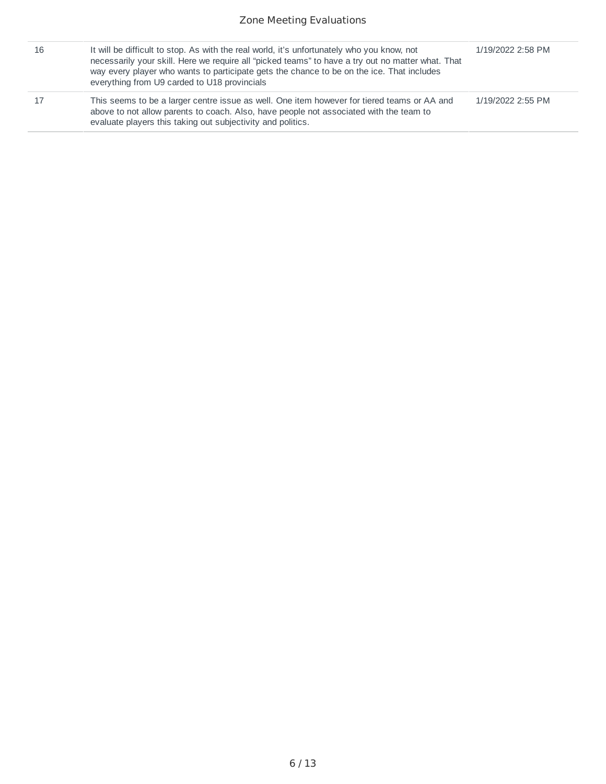| 16 | It will be difficult to stop. As with the real world, it's unfortunately who you know, not<br>necessarily your skill. Here we require all "picked teams" to have a try out no matter what. That<br>way every player who wants to participate gets the chance to be on the ice. That includes<br>everything from U9 carded to U18 provincials | 1/19/2022 2:58 PM |
|----|----------------------------------------------------------------------------------------------------------------------------------------------------------------------------------------------------------------------------------------------------------------------------------------------------------------------------------------------|-------------------|
|    | This seems to be a larger centre issue as well. One item however for tiered teams or AA and<br>above to not allow parents to coach. Also, have people not associated with the team to<br>evaluate players this taking out subjectivity and politics.                                                                                         | 1/19/2022 2:55 PM |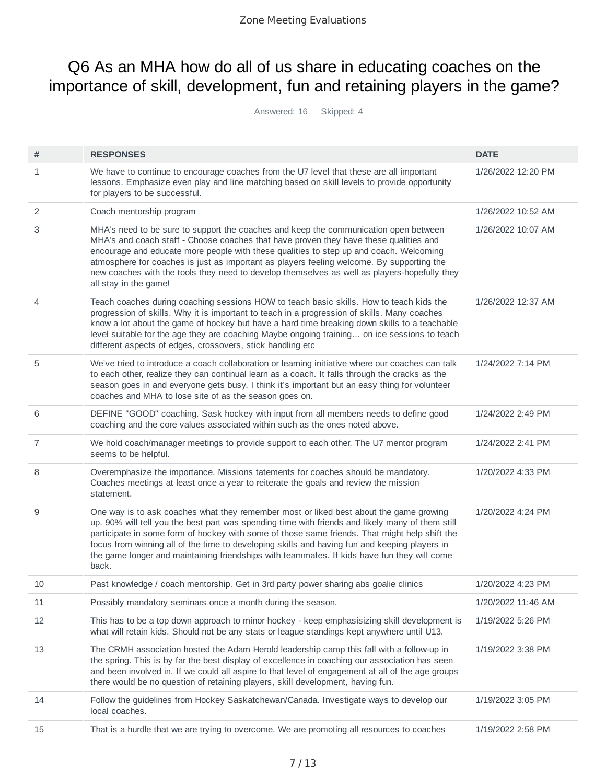### Q6 As an MHA how do all of us share in educating coaches on the importance of skill, development, fun and retaining players in the game?

Answered: 16 Skipped: 4

| #              | <b>RESPONSES</b>                                                                                                                                                                                                                                                                                                                                                                                                                                                                                     | <b>DATE</b>        |
|----------------|------------------------------------------------------------------------------------------------------------------------------------------------------------------------------------------------------------------------------------------------------------------------------------------------------------------------------------------------------------------------------------------------------------------------------------------------------------------------------------------------------|--------------------|
| 1              | We have to continue to encourage coaches from the U7 level that these are all important<br>lessons. Emphasize even play and line matching based on skill levels to provide opportunity<br>for players to be successful.                                                                                                                                                                                                                                                                              | 1/26/2022 12:20 PM |
| 2              | Coach mentorship program                                                                                                                                                                                                                                                                                                                                                                                                                                                                             | 1/26/2022 10:52 AM |
| 3              | MHA's need to be sure to support the coaches and keep the communication open between<br>MHA's and coach staff - Choose coaches that have proven they have these qualities and<br>encourage and educate more people with these qualities to step up and coach. Welcoming<br>atmosphere for coaches is just as important as players feeling welcome. By supporting the<br>new coaches with the tools they need to develop themselves as well as players-hopefully they<br>all stay in the game!        | 1/26/2022 10:07 AM |
| 4              | Teach coaches during coaching sessions HOW to teach basic skills. How to teach kids the<br>progression of skills. Why it is important to teach in a progression of skills. Many coaches<br>know a lot about the game of hockey but have a hard time breaking down skills to a teachable<br>level suitable for the age they are coaching Maybe ongoing training on ice sessions to teach<br>different aspects of edges, crossovers, stick handling etc                                                | 1/26/2022 12:37 AM |
| 5              | We've tried to introduce a coach collaboration or learning initiative where our coaches can talk<br>to each other, realize they can continual learn as a coach. It falls through the cracks as the<br>season goes in and everyone gets busy. I think it's important but an easy thing for volunteer<br>coaches and MHA to lose site of as the season goes on.                                                                                                                                        | 1/24/2022 7:14 PM  |
| 6              | DEFINE "GOOD" coaching. Sask hockey with input from all members needs to define good<br>coaching and the core values associated within such as the ones noted above.                                                                                                                                                                                                                                                                                                                                 | 1/24/2022 2:49 PM  |
| $\overline{7}$ | We hold coach/manager meetings to provide support to each other. The U7 mentor program<br>seems to be helpful.                                                                                                                                                                                                                                                                                                                                                                                       | 1/24/2022 2:41 PM  |
| 8              | Overemphasize the importance. Missions tatements for coaches should be mandatory.<br>Coaches meetings at least once a year to reiterate the goals and review the mission<br>statement.                                                                                                                                                                                                                                                                                                               | 1/20/2022 4:33 PM  |
| 9              | One way is to ask coaches what they remember most or liked best about the game growing<br>up. 90% will tell you the best part was spending time with friends and likely many of them still<br>participate in some form of hockey with some of those same friends. That might help shift the<br>focus from winning all of the time to developing skills and having fun and keeping players in<br>the game longer and maintaining friendships with teammates. If kids have fun they will come<br>back. | 1/20/2022 4:24 PM  |
| 10             | Past knowledge / coach mentorship. Get in 3rd party power sharing abs goalie clinics                                                                                                                                                                                                                                                                                                                                                                                                                 | 1/20/2022 4:23 PM  |
| 11             | Possibly mandatory seminars once a month during the season.                                                                                                                                                                                                                                                                                                                                                                                                                                          | 1/20/2022 11:46 AM |
| 12             | This has to be a top down approach to minor hockey - keep emphasisizing skill development is<br>what will retain kids. Should not be any stats or league standings kept anywhere until U13.                                                                                                                                                                                                                                                                                                          | 1/19/2022 5:26 PM  |
| 13             | The CRMH association hosted the Adam Herold leadership camp this fall with a follow-up in<br>the spring. This is by far the best display of excellence in coaching our association has seen<br>and been involved in. If we could all aspire to that level of engagement at all of the age groups<br>there would be no question of retaining players, skill development, having fun.                                                                                                                  | 1/19/2022 3:38 PM  |
| 14             | Follow the guidelines from Hockey Saskatchewan/Canada. Investigate ways to develop our<br>local coaches.                                                                                                                                                                                                                                                                                                                                                                                             | 1/19/2022 3:05 PM  |
| 15             | That is a hurdle that we are trying to overcome. We are promoting all resources to coaches                                                                                                                                                                                                                                                                                                                                                                                                           | 1/19/2022 2:58 PM  |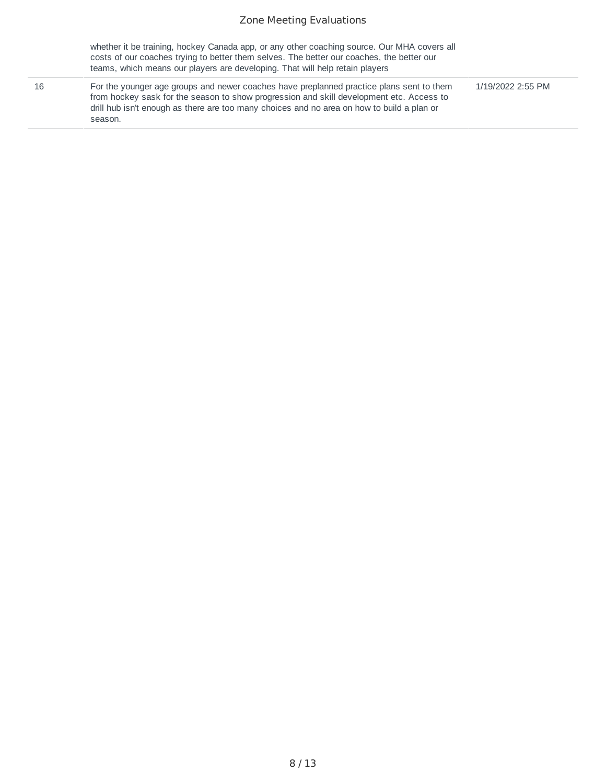#### Zone Meeting Evaluations

|    | whether it be training, hockey Canada app, or any other coaching source. Our MHA covers all<br>costs of our coaches trying to better them selves. The better our coaches, the better our<br>teams, which means our players are developing. That will help retain players                      |                   |
|----|-----------------------------------------------------------------------------------------------------------------------------------------------------------------------------------------------------------------------------------------------------------------------------------------------|-------------------|
| 16 | For the younger age groups and newer coaches have preplanned practice plans sent to them<br>from hockey sask for the season to show progression and skill development etc. Access to<br>drill hub isn't enough as there are too many choices and no area on how to build a plan or<br>season. | 1/19/2022 2:55 PM |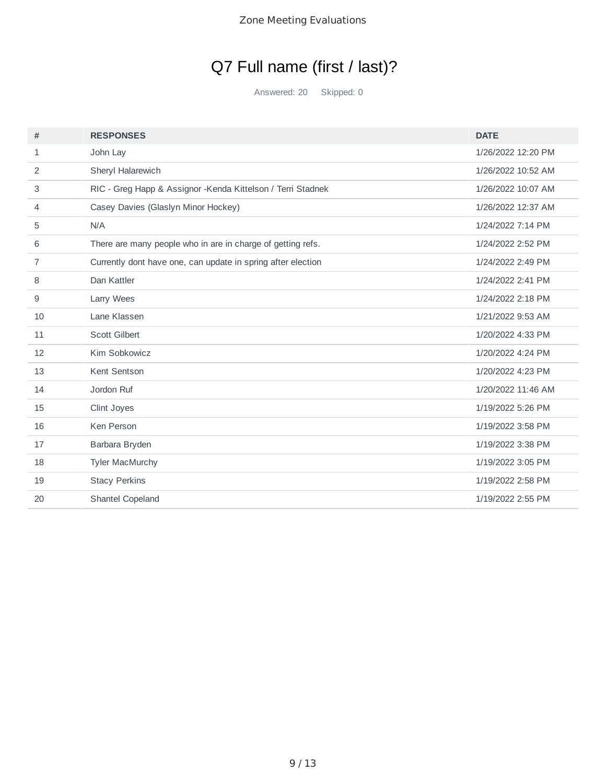# Q7 Full name (first / last)?

Answered: 20 Skipped: 0

| #  | <b>RESPONSES</b>                                             | <b>DATE</b>        |
|----|--------------------------------------------------------------|--------------------|
| 1  | John Lay                                                     | 1/26/2022 12:20 PM |
| 2  | Sheryl Halarewich                                            | 1/26/2022 10:52 AM |
| 3  | RIC - Greg Happ & Assignor - Kenda Kittelson / Terri Stadnek | 1/26/2022 10:07 AM |
| 4  | Casey Davies (Glaslyn Minor Hockey)                          | 1/26/2022 12:37 AM |
| 5  | N/A                                                          | 1/24/2022 7:14 PM  |
| 6  | There are many people who in are in charge of getting refs.  | 1/24/2022 2:52 PM  |
| 7  | Currently dont have one, can update in spring after election | 1/24/2022 2:49 PM  |
| 8  | Dan Kattler                                                  | 1/24/2022 2:41 PM  |
| 9  | Larry Wees                                                   | 1/24/2022 2:18 PM  |
| 10 | Lane Klassen                                                 | 1/21/2022 9:53 AM  |
| 11 | <b>Scott Gilbert</b>                                         | 1/20/2022 4:33 PM  |
| 12 | Kim Sobkowicz                                                | 1/20/2022 4:24 PM  |
| 13 | Kent Sentson                                                 | 1/20/2022 4:23 PM  |
| 14 | Jordon Ruf                                                   | 1/20/2022 11:46 AM |
| 15 | Clint Joyes                                                  | 1/19/2022 5:26 PM  |
| 16 | Ken Person                                                   | 1/19/2022 3:58 PM  |
| 17 | Barbara Bryden                                               | 1/19/2022 3:38 PM  |
| 18 | <b>Tyler MacMurchy</b>                                       | 1/19/2022 3:05 PM  |
| 19 | <b>Stacy Perkins</b>                                         | 1/19/2022 2:58 PM  |
| 20 | Shantel Copeland                                             | 1/19/2022 2:55 PM  |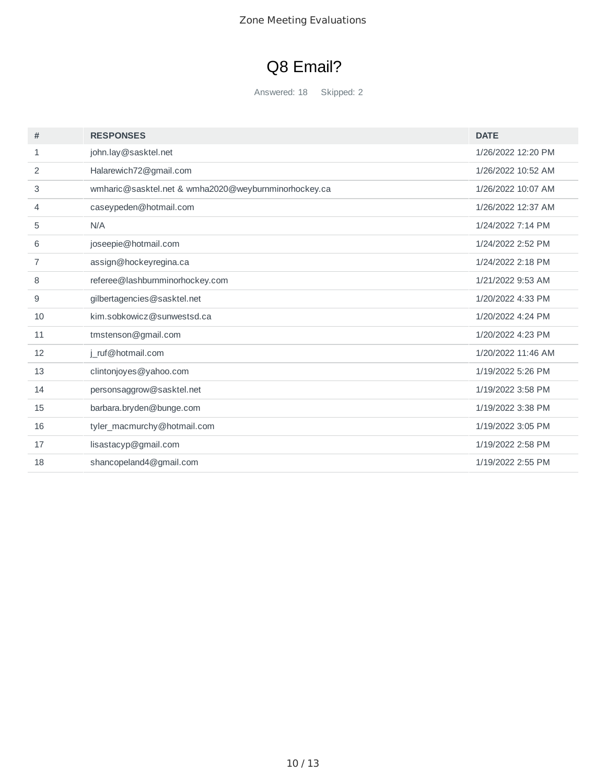## Q8 Email?

Answered: 18 Skipped: 2

| #  | <b>RESPONSES</b>                                     | <b>DATE</b>        |
|----|------------------------------------------------------|--------------------|
| 1  | john.lay@sasktel.net                                 | 1/26/2022 12:20 PM |
| 2  | Halarewich72@gmail.com                               | 1/26/2022 10:52 AM |
| 3  | wmharic@sasktel.net & wmha2020@weyburnminorhockey.ca | 1/26/2022 10:07 AM |
| 4  | caseypeden@hotmail.com                               | 1/26/2022 12:37 AM |
| 5  | N/A                                                  | 1/24/2022 7:14 PM  |
| 6  | joseepie@hotmail.com                                 | 1/24/2022 2:52 PM  |
| 7  | assign@hockeyregina.ca                               | 1/24/2022 2:18 PM  |
| 8  | referee@lashburnminorhockey.com                      | 1/21/2022 9:53 AM  |
| 9  | gilbertagencies@sasktel.net                          | 1/20/2022 4:33 PM  |
| 10 | kim.sobkowicz@sunwestsd.ca                           | 1/20/2022 4:24 PM  |
| 11 | tmstenson@gmail.com                                  | 1/20/2022 4:23 PM  |
| 12 | j ruf@hotmail.com                                    | 1/20/2022 11:46 AM |
| 13 | clintonjoyes@yahoo.com                               | 1/19/2022 5:26 PM  |
| 14 | personsaggrow@sasktel.net                            | 1/19/2022 3:58 PM  |
| 15 | barbara.bryden@bunge.com                             | 1/19/2022 3:38 PM  |
| 16 | tyler_macmurchy@hotmail.com                          | 1/19/2022 3:05 PM  |
| 17 | lisastacyp@gmail.com                                 | 1/19/2022 2:58 PM  |
| 18 | shancopeland4@gmail.com                              | 1/19/2022 2:55 PM  |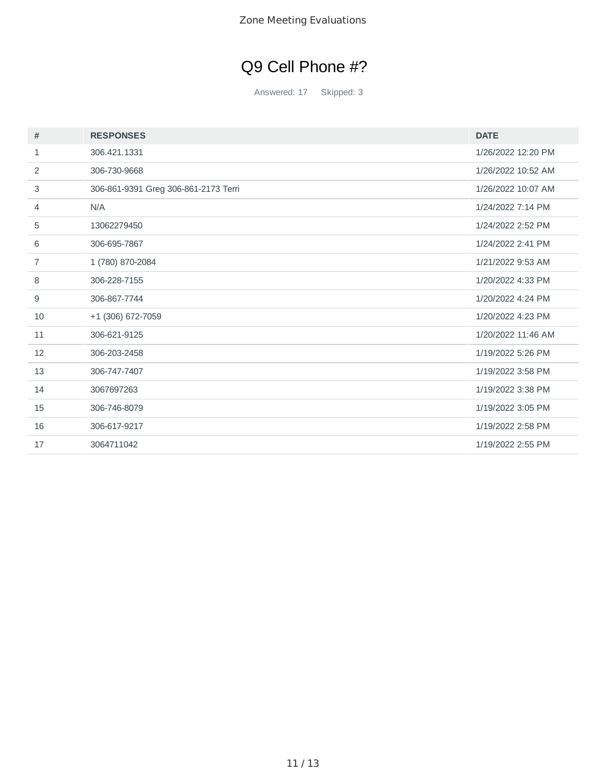# Q9 Cell Phone #?

Answered: 17 Skipped: 3

| #  | <b>RESPONSES</b>                     | <b>DATE</b>        |
|----|--------------------------------------|--------------------|
| 1  | 306.421.1331                         | 1/26/2022 12:20 PM |
| 2  | 306-730-9668                         | 1/26/2022 10:52 AM |
| 3  | 306-861-9391 Greg 306-861-2173 Terri | 1/26/2022 10:07 AM |
| 4  | N/A                                  | 1/24/2022 7:14 PM  |
| 5  | 13062279450                          | 1/24/2022 2:52 PM  |
| 6  | 306-695-7867                         | 1/24/2022 2:41 PM  |
| 7  | 1 (780) 870-2084                     | 1/21/2022 9:53 AM  |
| 8  | 306-228-7155                         | 1/20/2022 4:33 PM  |
| 9  | 306-867-7744                         | 1/20/2022 4:24 PM  |
| 10 | +1 (306) 672-7059                    | 1/20/2022 4:23 PM  |
| 11 | 306-621-9125                         | 1/20/2022 11:46 AM |
| 12 | 306-203-2458                         | 1/19/2022 5:26 PM  |
| 13 | 306-747-7407                         | 1/19/2022 3:58 PM  |
| 14 | 3067697263                           | 1/19/2022 3:38 PM  |
| 15 | 306-746-8079                         | 1/19/2022 3:05 PM  |
| 16 | 306-617-9217                         | 1/19/2022 2:58 PM  |
| 17 | 3064711042                           | 1/19/2022 2:55 PM  |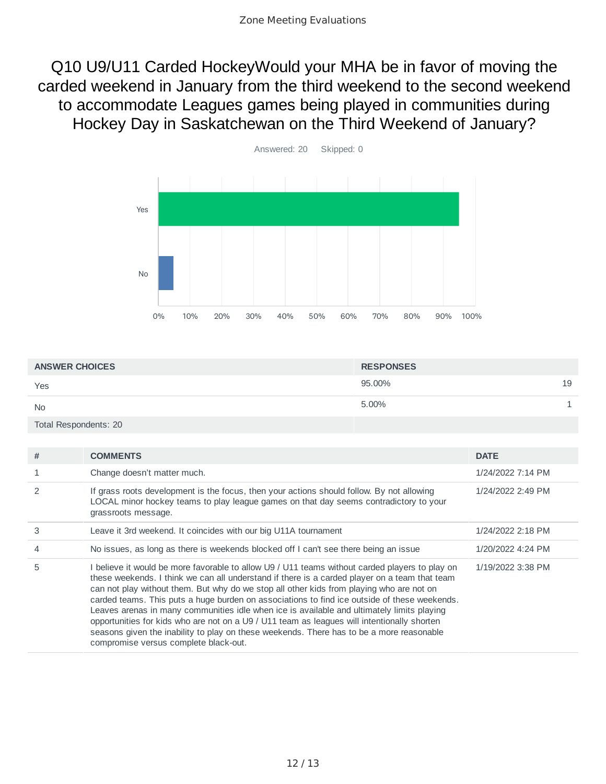Q10 U9/U11 Carded HockeyWould your MHA be in favor of moving the carded weekend in January from the third weekend to the second weekend to accommodate Leagues games being played in communities during Hockey Day in Saskatchewan on the Third Weekend of January?



| <b>ANSWER CHOICES</b> | <b>RESPONSES</b> |    |
|-----------------------|------------------|----|
| Yes                   | 95.00%           | 19 |
| <b>No</b>             | 5.00%            |    |
| Total Respondents: 20 |                  |    |

| #              | <b>COMMENTS</b>                                                                                                                                                                                                                                                                                                                                                                                                                                                                                                                                                                                                                                                                                                               | <b>DATE</b>       |
|----------------|-------------------------------------------------------------------------------------------------------------------------------------------------------------------------------------------------------------------------------------------------------------------------------------------------------------------------------------------------------------------------------------------------------------------------------------------------------------------------------------------------------------------------------------------------------------------------------------------------------------------------------------------------------------------------------------------------------------------------------|-------------------|
|                | Change doesn't matter much.                                                                                                                                                                                                                                                                                                                                                                                                                                                                                                                                                                                                                                                                                                   | 1/24/2022 7:14 PM |
| $\mathcal{P}$  | If grass roots development is the focus, then your actions should follow. By not allowing<br>LOCAL minor hockey teams to play league games on that day seems contradictory to your<br>grassroots message.                                                                                                                                                                                                                                                                                                                                                                                                                                                                                                                     | 1/24/2022 2:49 PM |
| 3              | Leave it 3rd weekend. It coincides with our big U11A tournament                                                                                                                                                                                                                                                                                                                                                                                                                                                                                                                                                                                                                                                               | 1/24/2022 2:18 PM |
| $\overline{4}$ | No issues, as long as there is weekends blocked off I can't see there being an issue                                                                                                                                                                                                                                                                                                                                                                                                                                                                                                                                                                                                                                          | 1/20/2022 4:24 PM |
| 5              | I believe it would be more favorable to allow U9 / U11 teams without carded players to play on<br>these weekends. I think we can all understand if there is a carded player on a team that team<br>can not play without them. But why do we stop all other kids from playing who are not on<br>carded teams. This puts a huge burden on associations to find ice outside of these weekends.<br>Leaves arenas in many communities idle when ice is available and ultimately limits playing<br>opportunities for kids who are not on a U9 / U11 team as leagues will intentionally shorten<br>seasons given the inability to play on these weekends. There has to be a more reasonable<br>compromise versus complete black-out. | 1/19/2022 3:38 PM |